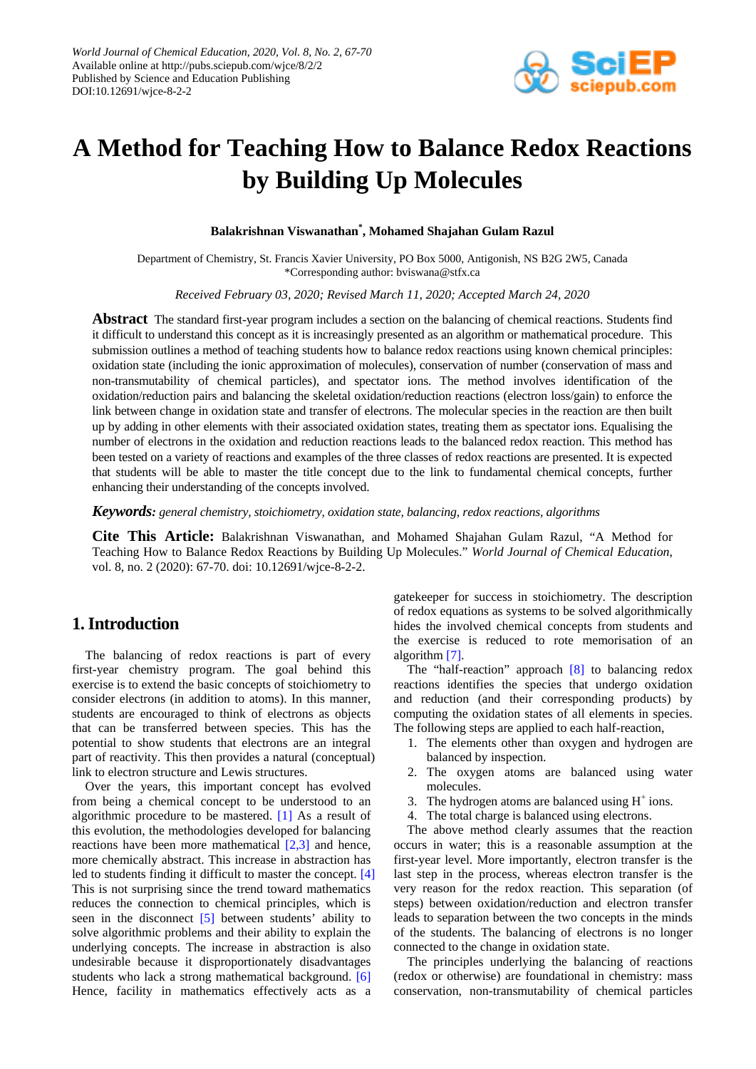

# **A Method for Teaching How to Balance Redox Reactions by Building Up Molecules**

**Balakrishnan Viswanathan\* , Mohamed Shajahan Gulam Razul**

Department of Chemistry, St. Francis Xavier University, PO Box 5000, Antigonish, NS B2G 2W5, Canada \*Corresponding author: bviswana@stfx.ca

*Received February 03, 2020; Revised March 11, 2020; Accepted March 24, 2020*

**Abstract** The standard first-year program includes a section on the balancing of chemical reactions. Students find it difficult to understand this concept as it is increasingly presented as an algorithm or mathematical procedure. This submission outlines a method of teaching students how to balance redox reactions using known chemical principles: oxidation state (including the ionic approximation of molecules), conservation of number (conservation of mass and non-transmutability of chemical particles), and spectator ions. The method involves identification of the oxidation/reduction pairs and balancing the skeletal oxidation/reduction reactions (electron loss/gain) to enforce the link between change in oxidation state and transfer of electrons. The molecular species in the reaction are then built up by adding in other elements with their associated oxidation states, treating them as spectator ions. Equalising the number of electrons in the oxidation and reduction reactions leads to the balanced redox reaction. This method has been tested on a variety of reactions and examples of the three classes of redox reactions are presented. It is expected that students will be able to master the title concept due to the link to fundamental chemical concepts, further enhancing their understanding of the concepts involved.

*Keywords: general chemistry, stoichiometry, oxidation state, balancing, redox reactions, algorithms*

**Cite This Article:** Balakrishnan Viswanathan, and Mohamed Shajahan Gulam Razul, "A Method for Teaching How to Balance Redox Reactions by Building Up Molecules." *World Journal of Chemical Education*, vol. 8, no. 2 (2020): 67-70. doi: 10.12691/wjce-8-2-2.

# **1. Introduction**

The balancing of redox reactions is part of every first-year chemistry program. The goal behind this exercise is to extend the basic concepts of stoichiometry to consider electrons (in addition to atoms). In this manner, students are encouraged to think of electrons as objects that can be transferred between species. This has the potential to show students that electrons are an integral part of reactivity. This then provides a natural (conceptual) link to electron structure and Lewis structures.

Over the years, this important concept has evolved from being a chemical concept to be understood to an algorithmic procedure to be mastered. [\[1\]](#page-3-0) As a result of this evolution, the methodologies developed for balancing reactions have been more mathematical [\[2,3\]](#page-3-1) and hence, more chemically abstract. This increase in abstraction has led to students finding it difficult to master the concept. [\[4\]](#page-3-2) This is not surprising since the trend toward mathematics reduces the connection to chemical principles, which is seen in the disconnect [\[5\]](#page-3-3) between students' ability to solve algorithmic problems and their ability to explain the underlying concepts. The increase in abstraction is also undesirable because it disproportionately disadvantages students who lack a strong mathematical background. [\[6\]](#page-3-4) Hence, facility in mathematics effectively acts as a

gatekeeper for success in stoichiometry. The description of redox equations as systems to be solved algorithmically hides the involved chemical concepts from students and the exercise is reduced to rote memorisation of an algorith[m \[7\].](#page-3-5)

The "half-reaction" approach [\[8\]](#page-3-6) to balancing redox reactions identifies the species that undergo oxidation and reduction (and their corresponding products) by computing the oxidation states of all elements in species. The following steps are applied to each half-reaction,

- 1. The elements other than oxygen and hydrogen are balanced by inspection.
- 2. The oxygen atoms are balanced using water molecules.
- 3. The hydrogen atoms are balanced using  $H^+$  ions.
- 4. The total charge is balanced using electrons.

The above method clearly assumes that the reaction occurs in water; this is a reasonable assumption at the first-year level. More importantly, electron transfer is the last step in the process, whereas electron transfer is the very reason for the redox reaction. This separation (of steps) between oxidation/reduction and electron transfer leads to separation between the two concepts in the minds of the students. The balancing of electrons is no longer connected to the change in oxidation state.

The principles underlying the balancing of reactions (redox or otherwise) are foundational in chemistry: mass conservation, non-transmutability of chemical particles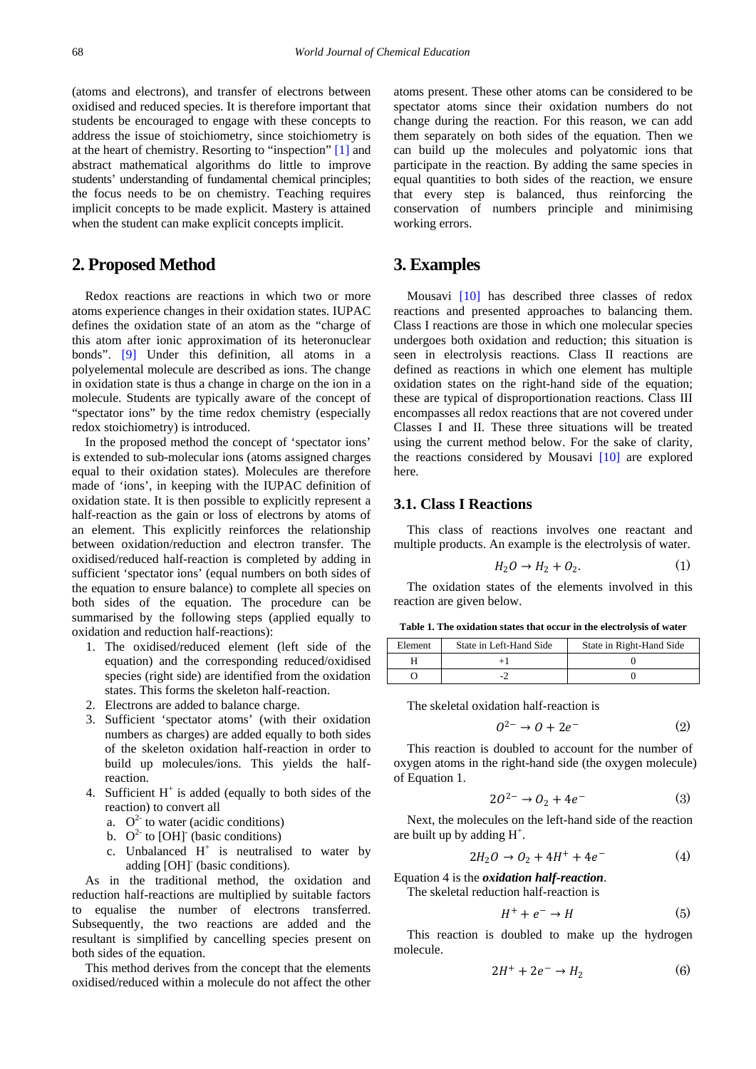(atoms and electrons), and transfer of electrons between oxidised and reduced species. It is therefore important that students be encouraged to engage with these concepts to address the issue of stoichiometry, since stoichiometry is at the heart of chemistry. Resorting to "inspection" [\[1\]](#page-3-0) and abstract mathematical algorithms do little to improve students' understanding of fundamental chemical principles; the focus needs to be on chemistry. Teaching requires implicit concepts to be made explicit. Mastery is attained when the student can make explicit concepts implicit.

## **2. Proposed Method**

Redox reactions are reactions in which two or more atoms experience changes in their oxidation states. IUPAC defines the oxidation state of an atom as the "charge of this atom after ionic approximation of its heteronuclear bonds". [\[9\]](#page-3-7) Under this definition, all atoms in a polyelemental molecule are described as ions. The change in oxidation state is thus a change in charge on the ion in a molecule. Students are typically aware of the concept of "spectator ions" by the time redox chemistry (especially redox stoichiometry) is introduced.

In the proposed method the concept of 'spectator ions' is extended to sub-molecular ions (atoms assigned charges equal to their oxidation states). Molecules are therefore made of 'ions', in keeping with the IUPAC definition of oxidation state. It is then possible to explicitly represent a half-reaction as the gain or loss of electrons by atoms of an element. This explicitly reinforces the relationship between oxidation/reduction and electron transfer. The oxidised/reduced half-reaction is completed by adding in sufficient 'spectator ions' (equal numbers on both sides of the equation to ensure balance) to complete all species on both sides of the equation. The procedure can be summarised by the following steps (applied equally to oxidation and reduction half-reactions):

- 1. The oxidised/reduced element (left side of the equation) and the corresponding reduced/oxidised species (right side) are identified from the oxidation states. This forms the skeleton half-reaction.
- 2. Electrons are added to balance charge.
- 3. Sufficient 'spectator atoms' (with their oxidation numbers as charges) are added equally to both sides of the skeleton oxidation half-reaction in order to build up molecules/ions. This yields the halfreaction.
- 4. Sufficient  $H^+$  is added (equally to both sides of the reaction) to convert all
	- a.  $O^2$  to water (acidic conditions)
	- b.  $O^2$  to [OH] (basic conditions)
	- c. Unbalanced  $H^+$  is neutralised to water by adding [OH]- (basic conditions).

As in the traditional method, the oxidation and reduction half-reactions are multiplied by suitable factors to equalise the number of electrons transferred. Subsequently, the two reactions are added and the resultant is simplified by cancelling species present on both sides of the equation.

This method derives from the concept that the elements oxidised/reduced within a molecule do not affect the other atoms present. These other atoms can be considered to be spectator atoms since their oxidation numbers do not change during the reaction. For this reason, we can add them separately on both sides of the equation. Then we can build up the molecules and polyatomic ions that participate in the reaction. By adding the same species in equal quantities to both sides of the reaction, we ensure that every step is balanced, thus reinforcing the conservation of numbers principle and minimising working errors.

## **3. Examples**

Mousavi [\[10\]](#page-3-8) has described three classes of redox reactions and presented approaches to balancing them. Class I reactions are those in which one molecular species undergoes both oxidation and reduction; this situation is seen in electrolysis reactions. Class II reactions are defined as reactions in which one element has multiple oxidation states on the right-hand side of the equation; these are typical of disproportionation reactions. Class III encompasses all redox reactions that are not covered under Classes I and II. These three situations will be treated using the current method below. For the sake of clarity, the reactions considered by Mousavi [\[10\]](#page-3-8) are explored here.

#### **3.1. Class I Reactions**

This class of reactions involves one reactant and multiple products. An example is the electrolysis of water.

$$
H_2O \to H_2 + O_2. \tag{1}
$$

The oxidation states of the elements involved in this reaction are given below.

**Table 1. The oxidation states that occur in the electrolysis of water**

| Element | State in Left-Hand Side | State in Right-Hand Side |
|---------|-------------------------|--------------------------|
|         |                         |                          |
|         |                         |                          |

The skeletal oxidation half-reaction is

$$
0^{2-} \to 0 + 2e^- \tag{2}
$$

This reaction is doubled to account for the number of oxygen atoms in the right-hand side (the oxygen molecule) of Equation 1.

$$
20^{2-} \to 0_2 + 4e^-
$$
 (3)

Next, the molecules on the left-hand side of the reaction are built up by adding  $H^+$ .

$$
2H_2O \to O_2 + 4H^+ + 4e^- \tag{4}
$$

Equation 4 is the *oxidation half-reaction*.

The skeletal reduction half-reaction is

$$
H^+ + e^- \to H \tag{5}
$$

This reaction is doubled to make up the hydrogen molecule.

$$
2H^{+} + 2e^{-} \rightarrow H_{2} \tag{6}
$$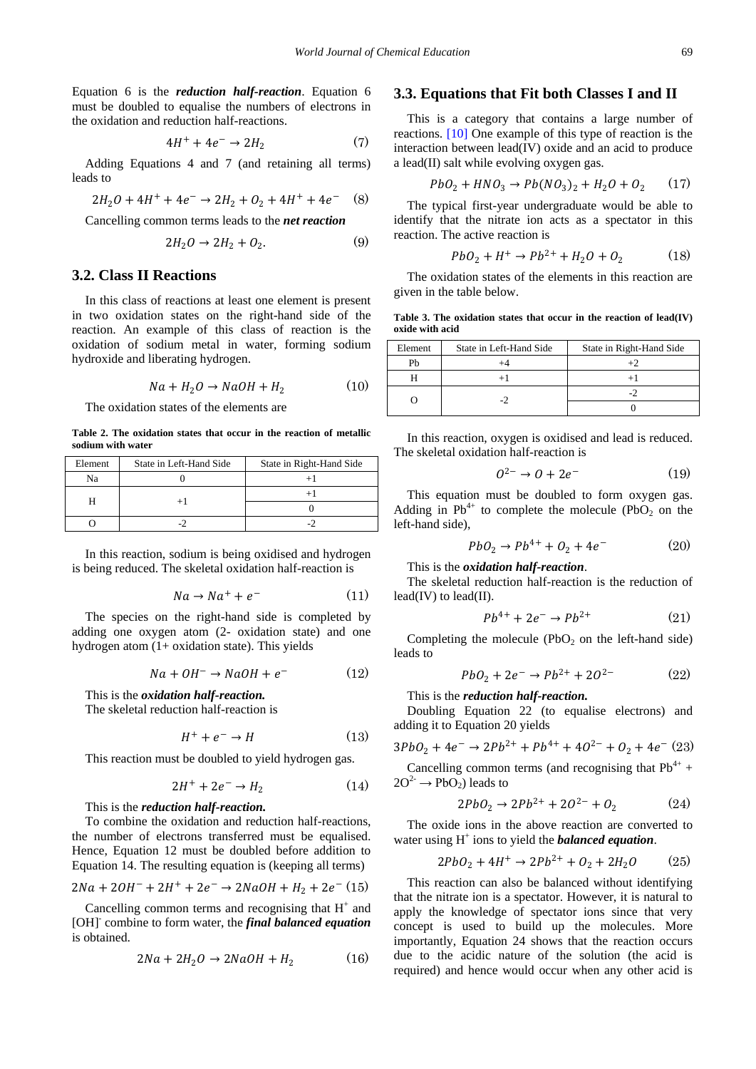Equation 6 is the *reduction half-reaction*. Equation 6 must be doubled to equalise the numbers of electrons in the oxidation and reduction half-reactions.

$$
4H^{+} + 4e^{-} \rightarrow 2H_{2} \tag{7}
$$

Adding Equations 4 and 7 (and retaining all terms) leads to

$$
2H_2O + 4H^+ + 4e^- \rightarrow 2H_2 + O_2 + 4H^+ + 4e^- \quad (8)
$$

Cancelling common terms leads to the *net reaction*

$$
2H_2O \to 2H_2 + O_2. \tag{9}
$$

#### **3.2. Class II Reactions**

In this class of reactions at least one element is present in two oxidation states on the right-hand side of the reaction. An example of this class of reaction is the oxidation of sodium metal in water, forming sodium hydroxide and liberating hydrogen.

$$
Na + H_2O \rightarrow NaOH + H_2 \tag{10}
$$

The oxidation states of the elements are

**Table 2. The oxidation states that occur in the reaction of metallic sodium with water**

| Element | State in Left-Hand Side | State in Right-Hand Side |
|---------|-------------------------|--------------------------|
| Na      |                         |                          |
|         |                         |                          |
|         |                         |                          |
|         |                         |                          |

In this reaction, sodium is being oxidised and hydrogen is being reduced. The skeletal oxidation half-reaction is

$$
Na \to Na^+ + e^- \tag{11}
$$

The species on the right-hand side is completed by adding one oxygen atom (2- oxidation state) and one hydrogen atom (1+ oxidation state). This yields

$$
Na + OH^- \rightarrow NaOH + e^-
$$
 (12)

This is the *oxidation half-reaction.*

The skeletal reduction half-reaction is

$$
H^+ + e^- \to H \tag{13}
$$

This reaction must be doubled to yield hydrogen gas.

$$
2H^+ + 2e^- \rightarrow H_2 \tag{14}
$$

This is the *reduction half-reaction.* 

To combine the oxidation and reduction half-reactions, the number of electrons transferred must be equalised. Hence, Equation 12 must be doubled before addition to Equation 14. The resulting equation is (keeping all terms)

$$
2Na + 2OH^- + 2H^+ + 2e^- \rightarrow 2NaOH + H_2 + 2e^- (15)
$$

Cancelling common terms and recognising that  $H^+$  and [OH]- combine to form water, the *final balanced equation* is obtained.

$$
2Na + 2H2O \rightarrow 2NaOH + H2
$$
 (16)

#### **3.3. Equations that Fit both Classes I and II**

This is a category that contains a large number of reactions. [\[10\]](#page-3-8) One example of this type of reaction is the interaction between lead(IV) oxide and an acid to produce a lead(II) salt while evolving oxygen gas.

$$
PbO_2 + HNO_3 \to Pb(NO_3)_2 + H_2O + O_2 \qquad (17)
$$

The typical first-year undergraduate would be able to identify that the nitrate ion acts as a spectator in this reaction. The active reaction is

$$
PbO_2 + H^+ \to Pb^{2+} + H_2O + O_2 \tag{18}
$$

The oxidation states of the elements in this reaction are given in the table below.

**Table 3. The oxidation states that occur in the reaction of lead(IV) oxide with acid**

| Element | State in Left-Hand Side | State in Right-Hand Side |
|---------|-------------------------|--------------------------|
| Ph      |                         |                          |
|         |                         |                          |
|         |                         |                          |
|         |                         |                          |

In this reaction, oxygen is oxidised and lead is reduced. The skeletal oxidation half-reaction is

$$
0^{2-} \to 0 + 2e^- \tag{19}
$$

This equation must be doubled to form oxygen gas. Adding in  $Pb^{4+}$  to complete the molecule (PbO<sub>2</sub> on the left-hand side),

$$
PbO_2 \to Pb^{4+} + O_2 + 4e^-
$$
 (20)

This is the *oxidation half-reaction*.

The skeletal reduction half-reaction is the reduction of  $lead(IV)$  to  $lead(II)$ .

$$
Pb^{4+} + 2e^- \to Pb^{2+} \tag{21}
$$

Completing the molecule  $(PbO<sub>2</sub>)$  on the left-hand side) leads to

$$
PbO_2 + 2e^- \to Pb^{2+} + 2O^{2-} \tag{22}
$$

This is the *reduction half-reaction.*

Doubling Equation 22 (to equalise electrons) and adding it to Equation 20 yields

$$
3PbO_2 + 4e^- \rightarrow 2Pb^{2+} + Pb^{4+} + 4O^{2-} + O_2 + 4e^- (23)
$$

Cancelling common terms (and recognising that  $Pb^{4+}$  +  $2O^2 \rightarrow PbO_2$ ) leads to

$$
2PbO_2 \to 2Pb^{2+} + 2O^{2-} + O_2 \tag{24}
$$

The oxide ions in the above reaction are converted to water using H<sup>+</sup> ions to yield the *balanced equation*.

$$
2PbO_2 + 4H^+ \to 2Pb^{2+} + O_2 + 2H_2O \tag{25}
$$

This reaction can also be balanced without identifying that the nitrate ion is a spectator. However, it is natural to apply the knowledge of spectator ions since that very concept is used to build up the molecules. More importantly, Equation 24 shows that the reaction occurs due to the acidic nature of the solution (the acid is required) and hence would occur when any other acid is